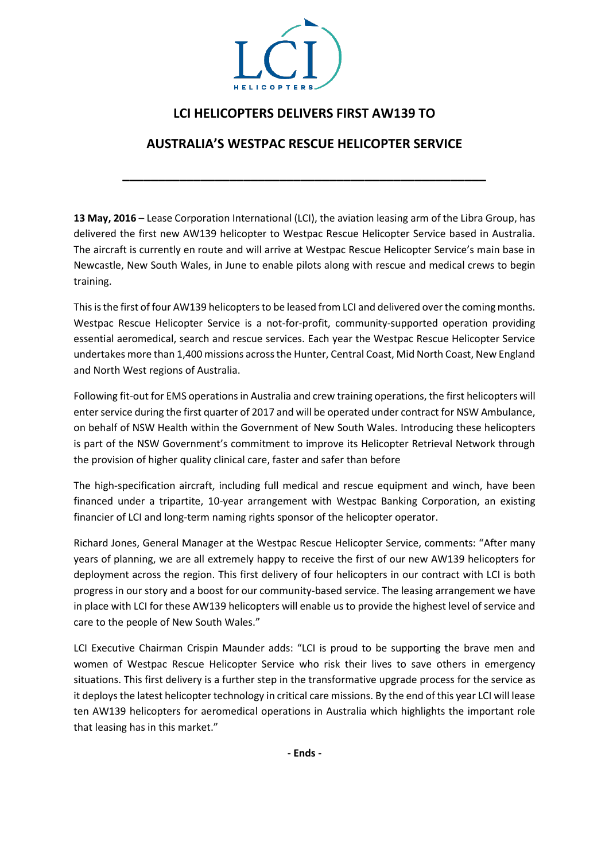

# **LCI HELICOPTERS DELIVERS FIRST AW139 TO**

## **AUSTRALIA'S WESTPAC RESCUE HELICOPTER SERVICE**

**\_\_\_\_\_\_\_\_\_\_\_\_\_\_\_\_\_\_\_\_\_\_\_\_\_\_\_\_\_\_\_\_\_\_\_\_\_\_\_\_\_\_\_\_\_\_\_\_\_\_\_**

**13 May, 2016** – Lease Corporation International (LCI), the aviation leasing arm of the Libra Group, has delivered the first new AW139 helicopter to Westpac Rescue Helicopter Service based in Australia. The aircraft is currently en route and will arrive at Westpac Rescue Helicopter Service's main base in Newcastle, New South Wales, in June to enable pilots along with rescue and medical crews to begin training.

This is the first of four AW139 helicopters to be leased from LCI and delivered over the coming months. Westpac Rescue Helicopter Service is a not-for-profit, community-supported operation providing essential aeromedical, search and rescue services. Each year the Westpac Rescue Helicopter Service undertakes more than 1,400 missions across the Hunter, Central Coast, Mid North Coast, New England and North West regions of Australia.

Following fit-out for EMS operations in Australia and crew training operations, the first helicopters will enter service during the first quarter of 2017 and will be operated under contract for NSW Ambulance, on behalf of NSW Health within the Government of New South Wales. Introducing these helicopters is part of the NSW Government's commitment to improve its Helicopter Retrieval Network through the provision of higher quality clinical care, faster and safer than before

The high-specification aircraft, including full medical and rescue equipment and winch, have been financed under a tripartite, 10-year arrangement with Westpac Banking Corporation, an existing financier of LCI and long-term naming rights sponsor of the helicopter operator.

Richard Jones, General Manager at the Westpac Rescue Helicopter Service, comments: "After many years of planning, we are all extremely happy to receive the first of our new AW139 helicopters for deployment across the region. This first delivery of four helicopters in our contract with LCI is both progress in our story and a boost for our community-based service. The leasing arrangement we have in place with LCI for these AW139 helicopters will enable us to provide the highest level of service and care to the people of New South Wales."

LCI Executive Chairman Crispin Maunder adds: "LCI is proud to be supporting the brave men and women of Westpac Rescue Helicopter Service who risk their lives to save others in emergency situations. This first delivery is a further step in the transformative upgrade process for the service as it deploysthe latest helicopter technology in critical care missions. By the end of this year LCI will lease ten AW139 helicopters for aeromedical operations in Australia which highlights the important role that leasing has in this market."

**- Ends -**